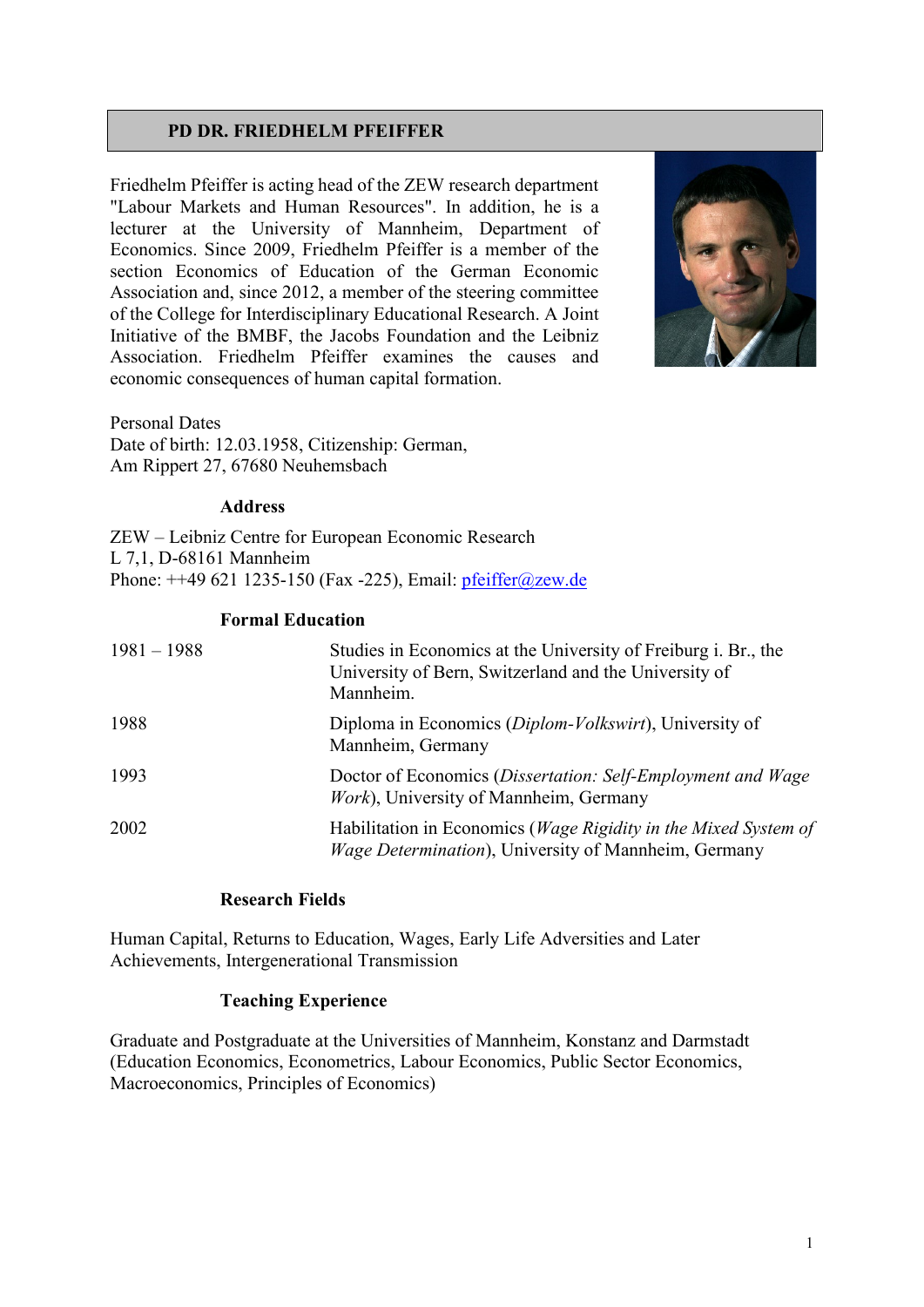# **PD DR. FRIEDHELM PFEIFFER**

Friedhelm Pfeiffer is acting head of the ZEW research department "Labour Markets and Human Resources". In addition, he is a lecturer at the University of Mannheim, Department of Economics. Since 2009, Friedhelm Pfeiffer is a member of the section Economics of Education of the German Economic Association and, since 2012, a member of the steering committee of the College for Interdisciplinary Educational Research. A Joint Initiative of the BMBF, the Jacobs Foundation and the Leibniz Association. Friedhelm Pfeiffer examines the causes and economic consequences of human capital formation.



Personal Dates Date of birth: 12.03.1958, Citizenship: German, Am Rippert 27, 67680 Neuhemsbach

#### **Address**

ZEW – Leibniz Centre for European Economic Research L 7,1, D-68161 Mannheim Phone: ++49 621 1235-150 (Fax -225), Email: [pfeiffer@zew.de](mailto:pfeiffer@zew.de)

#### **Formal Education**

| $1981 - 1988$ | Studies in Economics at the University of Freiburg i. Br., the<br>University of Bern, Switzerland and the University of<br>Mannheim. |
|---------------|--------------------------------------------------------------------------------------------------------------------------------------|
| 1988          | Diploma in Economics (Diplom-Volkswirt), University of<br>Mannheim, Germany                                                          |
| 1993          | Doctor of Economics (Dissertation: Self-Employment and Wage<br>Work), University of Mannheim, Germany                                |
| 2002          | Habilitation in Economics (Wage Rigidity in the Mixed System of<br>Wage Determination), University of Mannheim, Germany              |

## **Research Fields**

Human Capital, Returns to Education, Wages, Early Life Adversities and Later Achievements, Intergenerational Transmission

## **Teaching Experience**

Graduate and Postgraduate at the Universities of Mannheim, Konstanz and Darmstadt (Education Economics, Econometrics, Labour Economics, Public Sector Economics, Macroeconomics, Principles of Economics)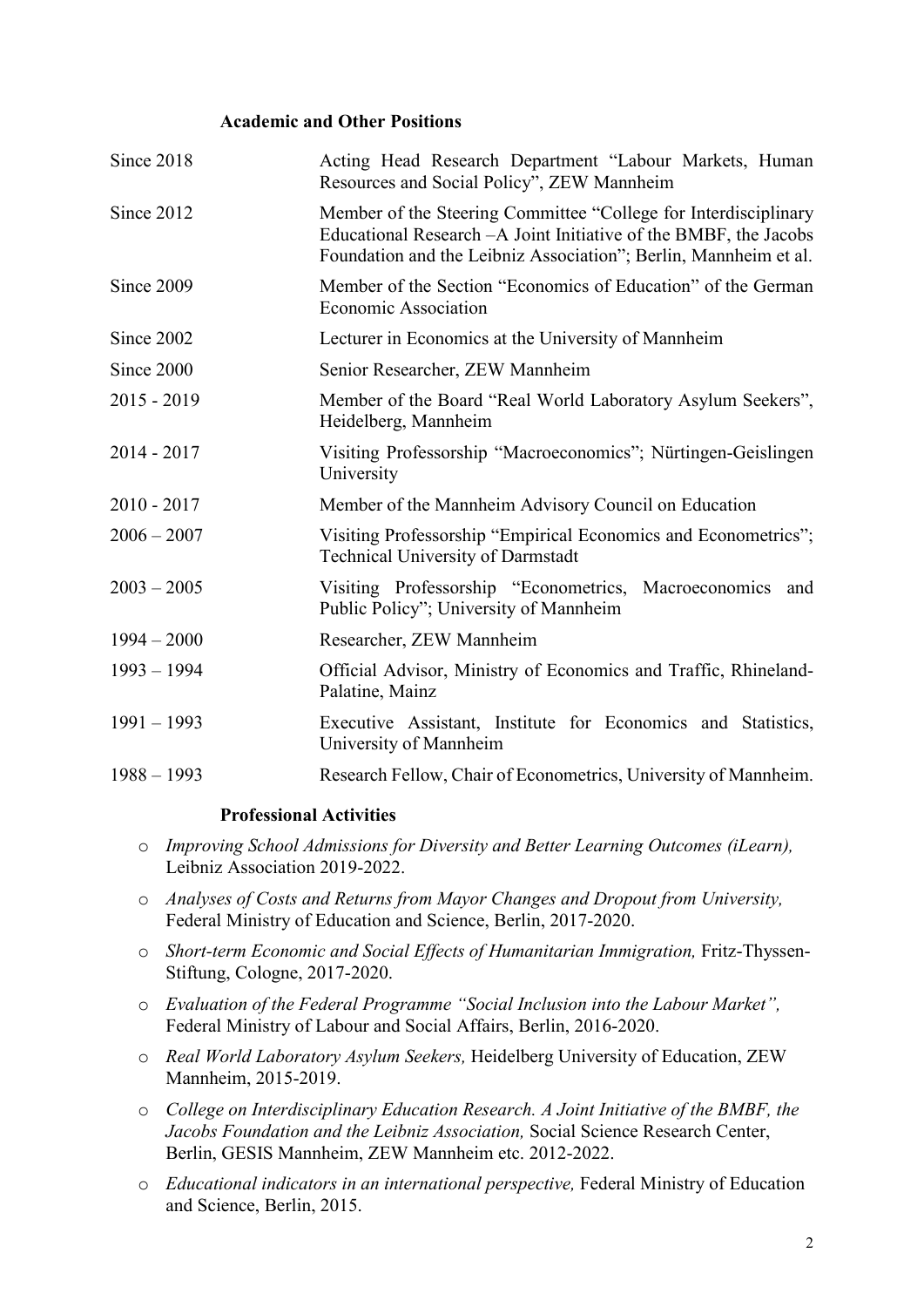#### **Academic and Other Positions**

| Since 2018    | Acting Head Research Department "Labour Markets, Human<br>Resources and Social Policy", ZEW Mannheim                                                                                                     |
|---------------|----------------------------------------------------------------------------------------------------------------------------------------------------------------------------------------------------------|
| Since 2012    | Member of the Steering Committee "College for Interdisciplinary<br>Educational Research - A Joint Initiative of the BMBF, the Jacobs<br>Foundation and the Leibniz Association"; Berlin, Mannheim et al. |
| Since 2009    | Member of the Section "Economics of Education" of the German<br><b>Economic Association</b>                                                                                                              |
| Since 2002    | Lecturer in Economics at the University of Mannheim                                                                                                                                                      |
| Since 2000    | Senior Researcher, ZEW Mannheim                                                                                                                                                                          |
| $2015 - 2019$ | Member of the Board "Real World Laboratory Asylum Seekers",<br>Heidelberg, Mannheim                                                                                                                      |
| $2014 - 2017$ | Visiting Professorship "Macroeconomics"; Nürtingen-Geislingen<br>University                                                                                                                              |
| $2010 - 2017$ | Member of the Mannheim Advisory Council on Education                                                                                                                                                     |
| $2006 - 2007$ | Visiting Professorship "Empirical Economics and Econometrics";<br><b>Technical University of Darmstadt</b>                                                                                               |
| $2003 - 2005$ | Visiting Professorship "Econometrics, Macroeconomics and<br>Public Policy"; University of Mannheim                                                                                                       |
| $1994 - 2000$ | Researcher, ZEW Mannheim                                                                                                                                                                                 |
| $1993 - 1994$ | Official Advisor, Ministry of Economics and Traffic, Rhineland-<br>Palatine, Mainz                                                                                                                       |
| $1991 - 1993$ | Executive Assistant, Institute for Economics and Statistics,<br>University of Mannheim                                                                                                                   |
| $1988 - 1993$ | Research Fellow, Chair of Econometrics, University of Mannheim.                                                                                                                                          |

## **Professional Activities**

- o *Improving School Admissions for Diversity and Better Learning Outcomes (iLearn),* Leibniz Association 2019-2022.
- o *Analyses of Costs and Returns from Mayor Changes and Dropout from University,*  Federal Ministry of Education and Science, Berlin, 2017-2020.
- o *Short-term Economic and Social Effects of Humanitarian Immigration,* Fritz-Thyssen-Stiftung, Cologne, 2017-2020.
- o *Evaluation of the Federal Programme "Social Inclusion into the Labour Market",*  Federal Ministry of Labour and Social Affairs, Berlin, 2016-2020.
- o *Real World Laboratory Asylum Seekers,* Heidelberg University of Education, ZEW Mannheim, 2015-2019.

o *College on Interdisciplinary Education Research. A Joint Initiative of the BMBF, the Jacobs Foundation and the Leibniz Association,* Social Science Research Center, Berlin, GESIS Mannheim, ZEW Mannheim etc. 2012-2022.

o *Educational indicators in an international perspective,* Federal Ministry of Education and Science, Berlin, 2015.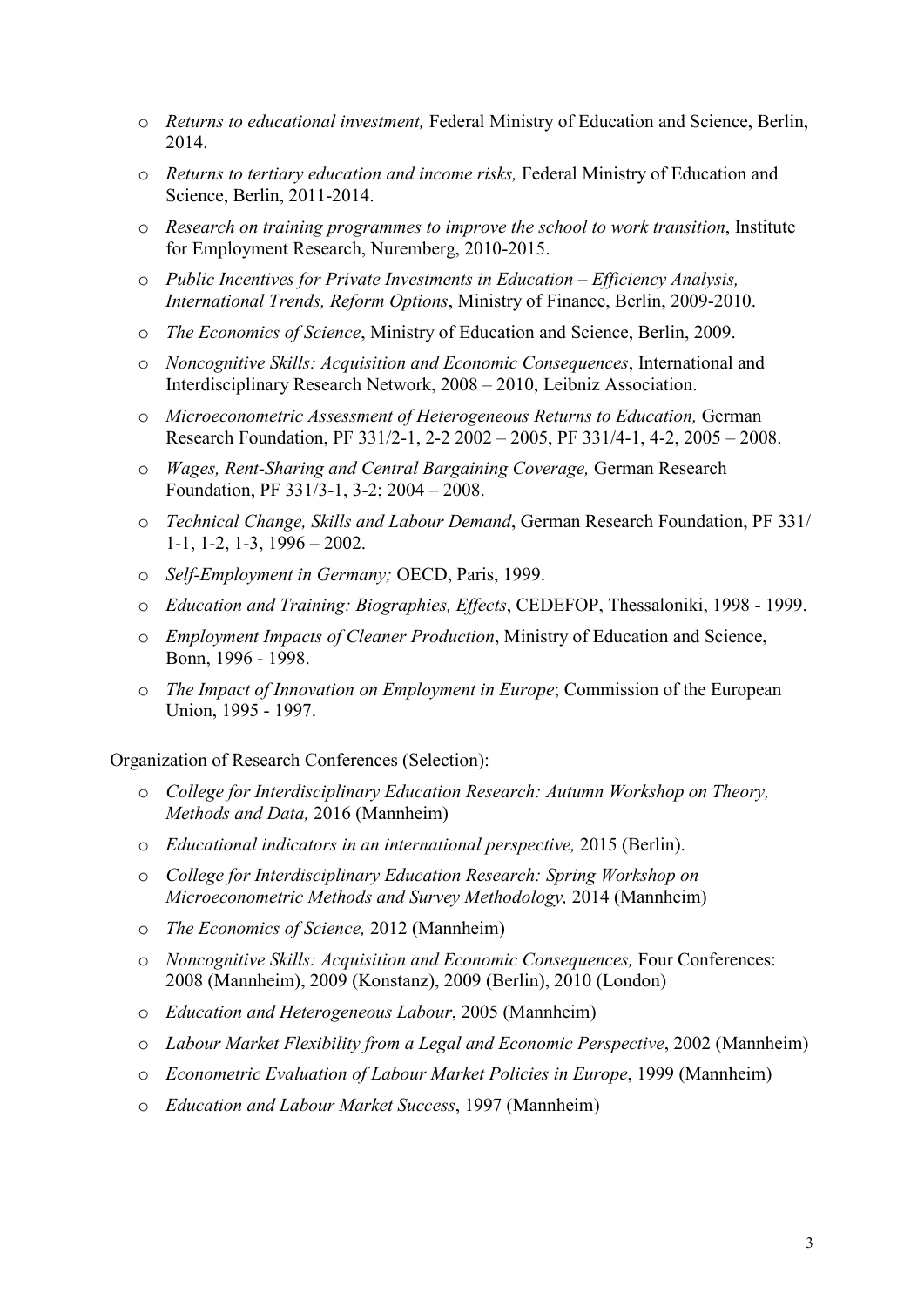- o *Returns to educational investment,* Federal Ministry of Education and Science, Berlin, 2014.
- o *Returns to tertiary education and income risks,* Federal Ministry of Education and Science, Berlin, 2011-2014.
- o *Research on training programmes to improve the school to work transition*, Institute for Employment Research, Nuremberg, 2010-2015.
- o *Public Incentives for Private Investments in Education – Efficiency Analysis, International Trends, Reform Options*, Ministry of Finance, Berlin, 2009-2010.
- o *The Economics of Science*, Ministry of Education and Science, Berlin, 2009.
- o *Noncognitive Skills: Acquisition and Economic Consequences*, International and Interdisciplinary Research Network, 2008 – 2010, Leibniz Association.
- o *Microeconometric Assessment of Heterogeneous Returns to Education,* German Research Foundation, PF 331/2-1, 2-2 2002 – 2005, PF 331/4-1, 4-2, 2005 – 2008.
- o *Wages, Rent-Sharing and Central Bargaining Coverage,* German Research Foundation, PF 331/3-1, 3-2; 2004 – 2008.
- o *Technical Change, Skills and Labour Demand*, German Research Foundation, PF 331/ 1-1, 1-2, 1-3, 1996 – 2002.
- o *Self-Employment in Germany;* OECD, Paris, 1999.
- o *Education and Training: Biographies, Effects*, CEDEFOP, Thessaloniki, 1998 1999.
- o *Employment Impacts of Cleaner Production*, Ministry of Education and Science, Bonn, 1996 - 1998.
- o *The Impact of Innovation on Employment in Europe*; Commission of the European Union, 1995 - 1997.

Organization of Research Conferences (Selection):

- o *College for Interdisciplinary Education Research: Autumn Workshop on Theory, Methods and Data,* 2016 (Mannheim)
- o *Educational indicators in an international perspective,* 2015 (Berlin).
- o *College for Interdisciplinary Education Research: Spring Workshop on Microeconometric Methods and Survey Methodology,* 2014 (Mannheim)
- o *The Economics of Science,* 2012 (Mannheim)
- o *Noncognitive Skills: Acquisition and Economic Consequences,* Four Conferences: 2008 (Mannheim), 2009 (Konstanz), 2009 (Berlin), 2010 (London)
- o *Education and Heterogeneous Labour*, 2005 (Mannheim)
- o *Labour Market Flexibility from a Legal and Economic Perspective*, 2002 (Mannheim)
- o *Econometric Evaluation of Labour Market Policies in Europe*, 1999 (Mannheim)
- o *Education and Labour Market Success*, 1997 (Mannheim)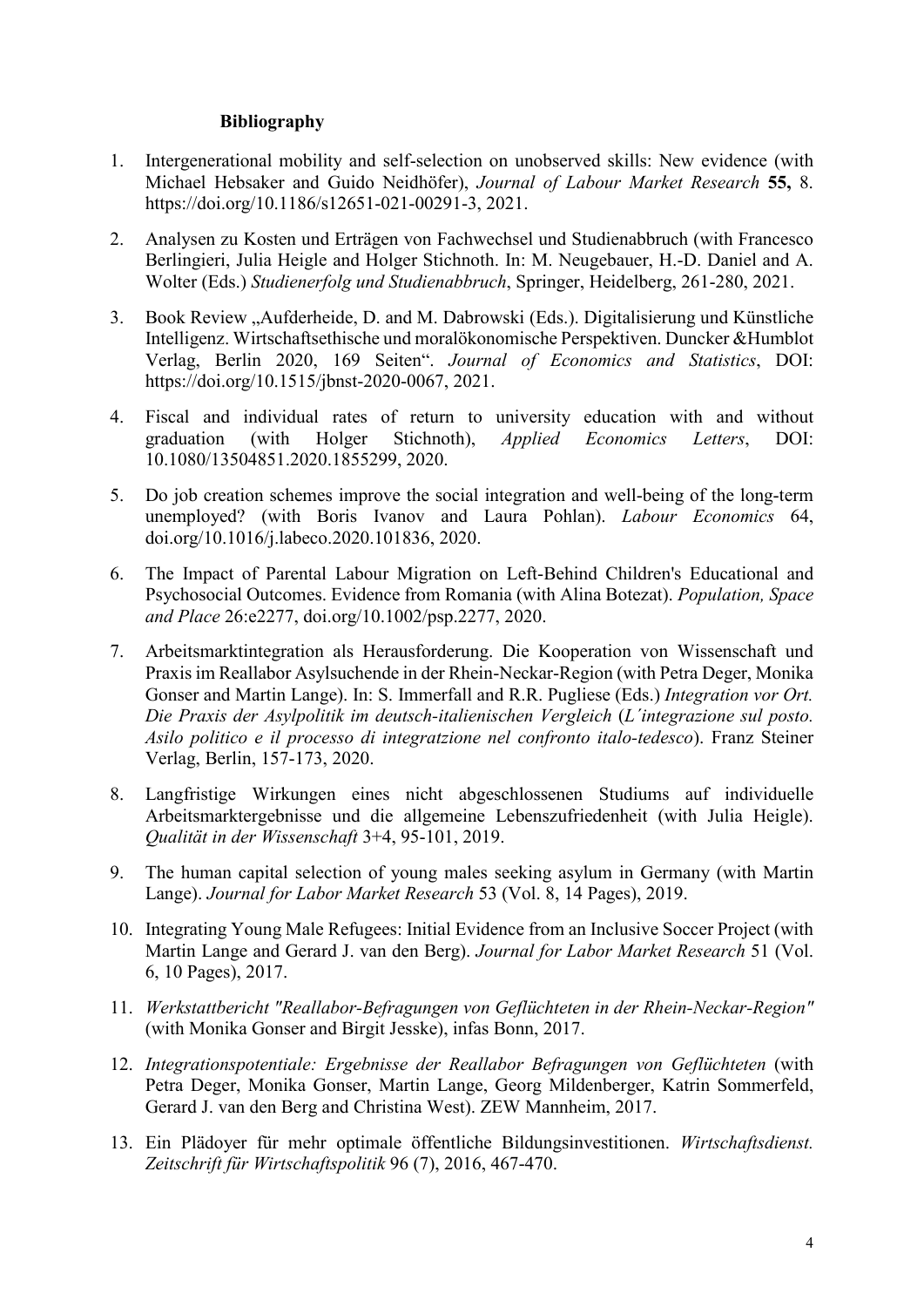## **Bibliography**

- 1. Intergenerational mobility and self-selection on unobserved skills: New evidence (with Michael Hebsaker and Guido Neidhöfer), *Journal of Labour Market Research* **55,** 8. [https://doi.org/10.1186/s12651-021-00291-3,](https://doi.org/10.1186/s12651-021-00291-3) 2021.
- 2. Analysen zu Kosten und Erträgen von Fachwechsel und Studienabbruch (with Francesco Berlingieri, Julia Heigle and Holger Stichnoth. In: M. Neugebauer, H.-D. Daniel and A. Wolter (Eds.) *Studienerfolg und Studienabbruch*, Springer, Heidelberg, 261-280, 2021.
- 3. Book Review "Aufderheide, D. and M. Dabrowski (Eds.). Digitalisierung und Künstliche Intelligenz. Wirtschaftsethische und moralökonomische Perspektiven. Duncker &Humblot Verlag, Berlin 2020, 169 Seiten". *Journal of Economics and Statistics*, DOI: [https://doi.org/10.1515/jbnst-2020-0067,](https://doi.org/10.1515/jbnst-2020-0067) 2021.
- 4. Fiscal and individual rates of return to university education with and without graduation (with Holger Stichnoth), *Applied Economics Letters*, DOI: 10.1080/13504851.2020.1855299, 2020.
- 5. Do job creation schemes improve the social integration and well-being of the long-term unemployed? (with Boris Ivanov and Laura Pohlan). *Labour Economics* 64, [doi.org/10.1016/j.labeco.2020.101836,](https://doi.org/10.1016/j.labeco.2020.101836) 2020.
- 6. The Impact of Parental Labour Migration on Left-Behind Children's Educational and Psychosocial Outcomes. Evidence from Romania (with Alina Botezat). *Population, Space and Place* 26:e2277, doi.org/10.1002/psp.2277, 2020.
- 7. Arbeitsmarktintegration als Herausforderung. Die Kooperation von Wissenschaft und Praxis im Reallabor Asylsuchende in der Rhein-Neckar-Region (with Petra Deger, Monika Gonser and Martin Lange). In: S. Immerfall and R.R. Pugliese (Eds.) *Integration vor Ort. Die Praxis der Asylpolitik im deutsch-italienischen Vergleich* (*L´integrazione sul posto. Asilo politico e il processo di integratzione nel confronto italo-tedesco*). Franz Steiner Verlag, Berlin, 157-173, 2020.
- 8. Langfristige Wirkungen eines nicht abgeschlossenen Studiums auf individuelle Arbeitsmarktergebnisse und die allgemeine Lebenszufriedenheit (with Julia Heigle). *Qualität in der Wissenschaft* 3+4, 95-101, 2019.
- 9. The human capital selection of young males seeking asylum in Germany (with Martin Lange). *Journal for Labor Market Research* 53 (Vol. 8, 14 Pages), 2019.
- 10. Integrating Young Male Refugees: Initial Evidence from an Inclusive Soccer Project (with Martin Lange and Gerard J. van den Berg). *Journal for Labor Market Research* 51 (Vol. 6, 10 Pages), 2017.
- 11. *Werkstattbericht "Reallabor-Befragungen von Geflüchteten in der Rhein-Neckar-Region"* (with Monika Gonser and Birgit Jesske), infas Bonn, 2017.
- 12. *Integrationspotentiale: Ergebnisse der Reallabor Befragungen von Geflüchteten* (with Petra Deger, Monika Gonser, Martin Lange, Georg Mildenberger, Katrin Sommerfeld, Gerard J. van den Berg and Christina West). ZEW Mannheim, 2017.
- 13. Ein Plädoyer für mehr optimale öffentliche Bildungsinvestitionen. *Wirtschaftsdienst. Zeitschrift für Wirtschaftspolitik* 96 (7), 2016, 467-470.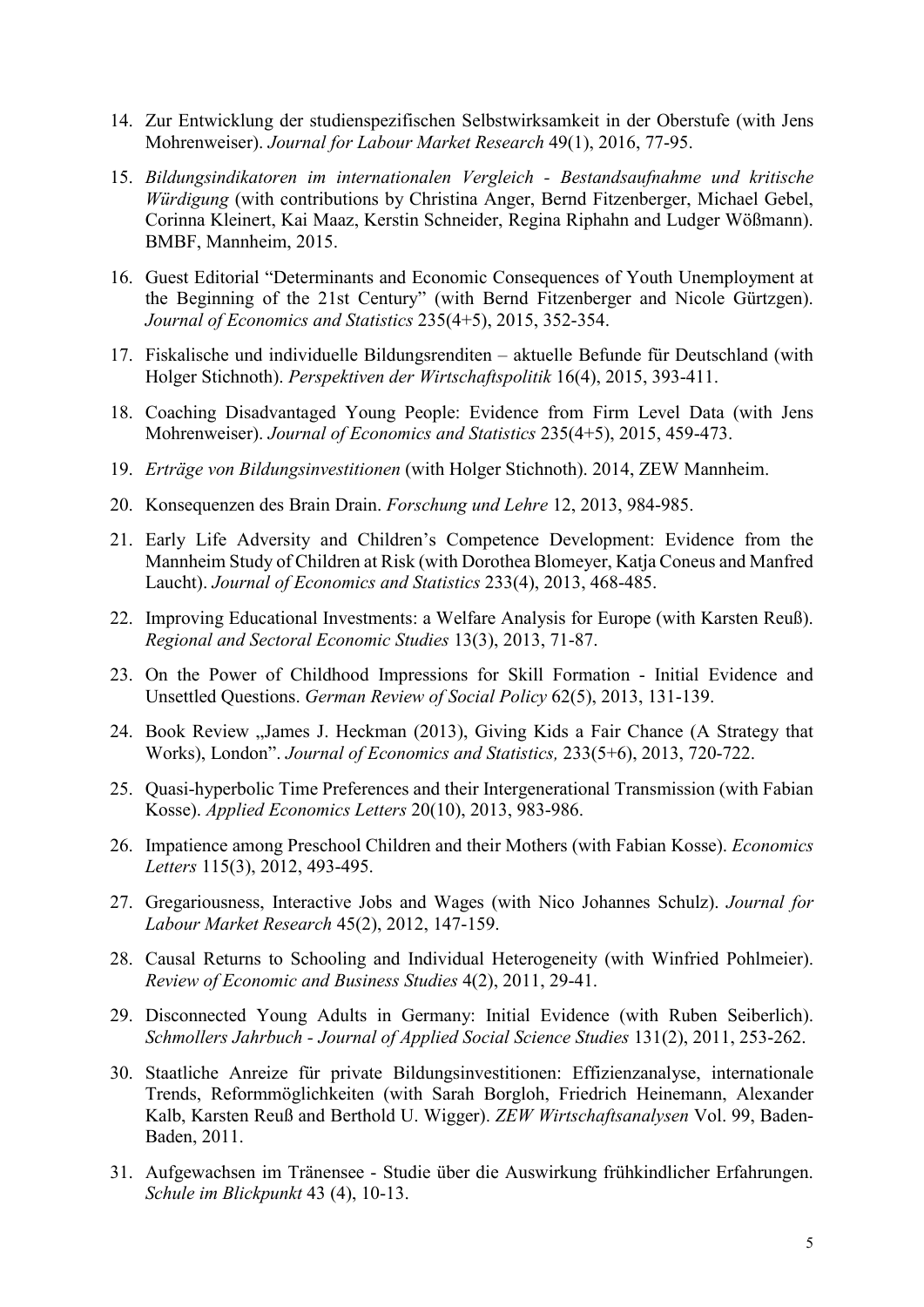- 14. Zur Entwicklung der studienspezifischen Selbstwirksamkeit in der Oberstufe (with Jens Mohrenweiser). *Journal for Labour Market Research* 49(1), 2016, 77-95.
- 15. *Bildungsindikatoren im internationalen Vergleich - Bestandsaufnahme und kritische Würdigung* (with contributions by Christina Anger, Bernd Fitzenberger, Michael Gebel, Corinna Kleinert, Kai Maaz, Kerstin Schneider, Regina Riphahn and Ludger Wößmann). BMBF, Mannheim, 2015.
- 16. Guest Editorial "Determinants and Economic Consequences of Youth Unemployment at the Beginning of the 21st Century" (with Bernd Fitzenberger and Nicole Gürtzgen). *Journal of Economics and Statistics* 235(4+5), 2015, 352-354.
- 17. Fiskalische und individuelle Bildungsrenditen aktuelle Befunde für Deutschland (with Holger Stichnoth). *Perspektiven der Wirtschaftspolitik* 16(4), 2015, 393-411.
- 18. Coaching Disadvantaged Young People: Evidence from Firm Level Data (with Jens Mohrenweiser). *Journal of Economics and Statistics* 235(4+5), 2015, 459-473.
- 19. *Erträge von Bildungsinvestitionen* (with Holger Stichnoth). 2014, ZEW Mannheim.
- 20. Konsequenzen des Brain Drain. *Forschung und Lehre* 12, 2013, 984-985.
- 21. Early Life Adversity and Children's Competence Development: Evidence from the Mannheim Study of Children at Risk (with Dorothea Blomeyer, Katja Coneus and Manfred Laucht). *Journal of Economics and Statistics* 233(4), 2013, 468-485.
- 22. Improving Educational Investments: a Welfare Analysis for Europe (with Karsten Reuß). *Regional and Sectoral Economic Studies* 13(3), 2013, 71-87.
- 23. On the Power of Childhood Impressions for Skill Formation Initial Evidence and Unsettled Questions. *German Review of Social Policy* 62(5), 2013, 131-139.
- 24. Book Review "James J. Heckman (2013), Giving Kids a Fair Chance (A Strategy that Works), London". *Journal of Economics and Statistics,* 233(5+6), 2013, 720-722.
- 25. Quasi-hyperbolic Time Preferences and their Intergenerational Transmission (with Fabian Kosse). *Applied Economics Letters* 20(10), 2013, 983-986.
- 26. Impatience among Preschool Children and their Mothers (with Fabian Kosse). *Economics Letters* 115(3), 2012, 493-495.
- 27. Gregariousness, Interactive Jobs and Wages (with Nico Johannes Schulz). *Journal for Labour Market Research* 45(2), 2012, 147-159.
- 28. Causal Returns to Schooling and Individual Heterogeneity (with Winfried Pohlmeier). *Review of Economic and Business Studies* 4(2), 2011, 29-41.
- 29. Disconnected Young Adults in Germany: Initial Evidence (with Ruben Seiberlich). *Schmollers Jahrbuch - Journal of Applied Social Science Studies* 131(2), 2011, 253-262.
- 30. Staatliche Anreize für private Bildungsinvestitionen: Effizienzanalyse, internationale Trends, Reformmöglichkeiten (with Sarah Borgloh, Friedrich Heinemann, Alexander Kalb, Karsten Reuß and Berthold U. Wigger). *ZEW Wirtschaftsanalysen* Vol. 99, Baden-Baden, 2011.
- 31. Aufgewachsen im Tränensee Studie über die Auswirkung frühkindlicher Erfahrungen. *Schule im Blickpunkt* 43 (4), 10-13.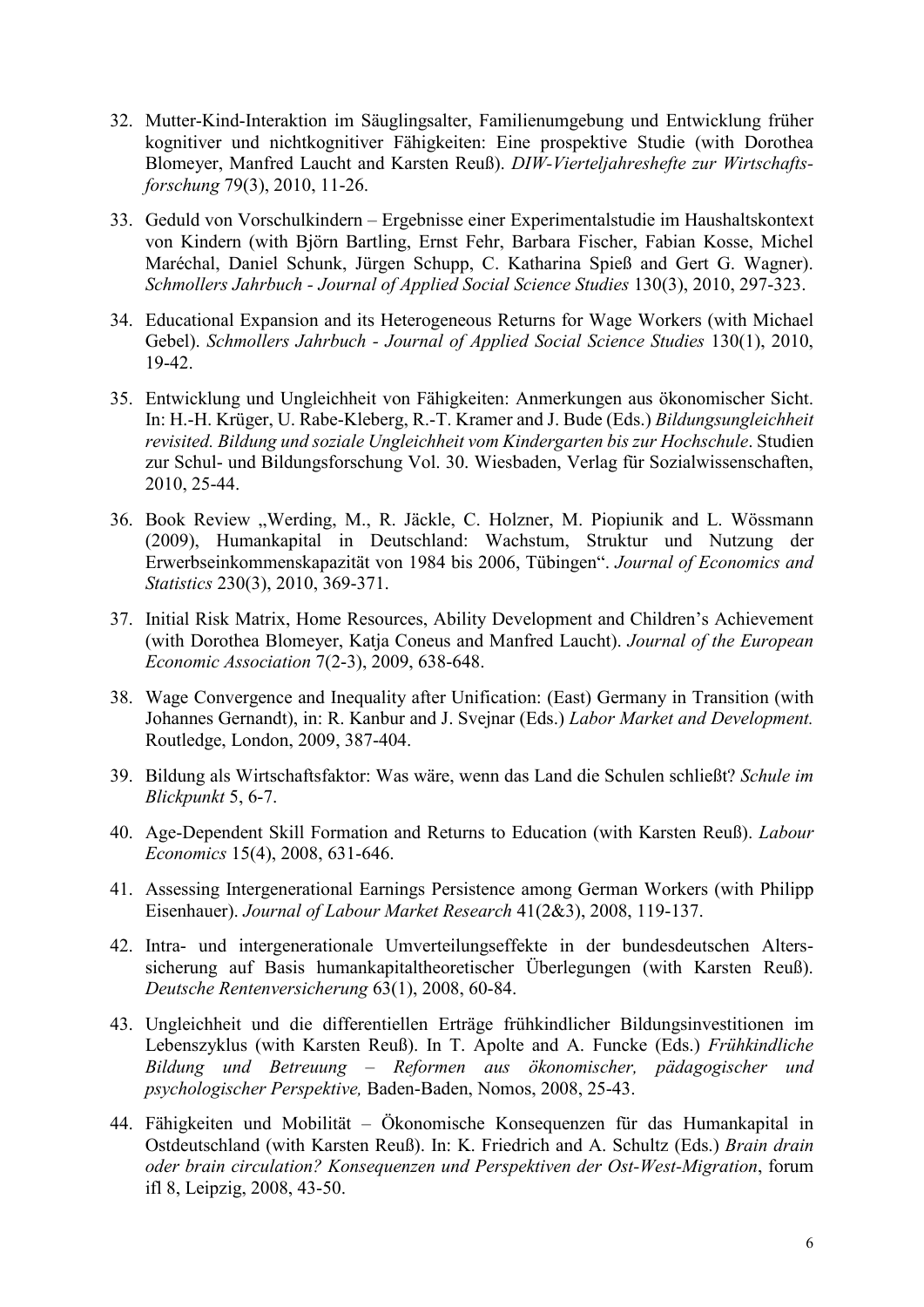- 32. Mutter-Kind-Interaktion im Säuglingsalter, Familienumgebung und Entwicklung früher kognitiver und nichtkognitiver Fähigkeiten: Eine prospektive Studie (with Dorothea Blomeyer, Manfred Laucht and Karsten Reuß). *DIW-Vierteljahreshefte zur Wirtschaftsforschung* 79(3), 2010, 11-26.
- 33. Geduld von Vorschulkindern Ergebnisse einer Experimentalstudie im Haushaltskontext von Kindern (with Björn Bartling, Ernst Fehr, Barbara Fischer, Fabian Kosse, Michel Maréchal, Daniel Schunk, Jürgen Schupp, C. Katharina Spieß and Gert G. Wagner). *Schmollers Jahrbuch - Journal of Applied Social Science Studies* 130(3), 2010, 297-323.
- 34. Educational Expansion and its Heterogeneous Returns for Wage Workers (with Michael Gebel). *Schmollers Jahrbuch - Journal of Applied Social Science Studies* 130(1), 2010, 19-42.
- 35. Entwicklung und Ungleichheit von Fähigkeiten: Anmerkungen aus ökonomischer Sicht. In: H.-H. Krüger, U. Rabe-Kleberg, R.-T. Kramer and J. Bude (Eds.) *Bildungsungleichheit revisited. Bildung und soziale Ungleichheit vom Kindergarten bis zur Hochschule*. Studien zur Schul- und Bildungsforschung Vol. 30. Wiesbaden, Verlag für Sozialwissenschaften, 2010, 25-44.
- 36. Book Review "Werding, M., R. Jäckle, C. Holzner, M. Piopiunik and L. Wössmann (2009), Humankapital in Deutschland: Wachstum, Struktur und Nutzung der Erwerbseinkommenskapazität von 1984 bis 2006, Tübingen". *Journal of Economics and Statistics* 230(3), 2010, 369-371.
- 37. Initial Risk Matrix, Home Resources, Ability Development and Children's Achievement (with Dorothea Blomeyer, Katja Coneus and Manfred Laucht). *Journal of the European Economic Association* 7(2-3), 2009, 638-648.
- 38. Wage Convergence and Inequality after Unification: (East) Germany in Transition (with Johannes Gernandt), in: R. Kanbur and J. Svejnar (Eds.) *Labor Market and Development.* Routledge, London, 2009, 387-404.
- 39. Bildung als Wirtschaftsfaktor: Was wäre, wenn das Land die Schulen schließt? *Schule im Blickpunkt* 5, 6-7.
- 40. Age-Dependent Skill Formation and Returns to Education (with Karsten Reuß). *Labour Economics* 15(4), 2008, 631-646.
- 41. Assessing Intergenerational Earnings Persistence among German Workers (with Philipp Eisenhauer). *Journal of Labour Market Research* 41(2&3), 2008, 119-137.
- 42. Intra- und intergenerationale Umverteilungseffekte in der bundesdeutschen Alterssicherung auf Basis humankapitaltheoretischer Überlegungen (with Karsten Reuß). *Deutsche Rentenversicherung* 63(1), 2008, 60-84.
- 43. Ungleichheit und die differentiellen Erträge frühkindlicher Bildungsinvestitionen im Lebenszyklus (with Karsten Reuß). In T. Apolte and A. Funcke (Eds.) *Frühkindliche Bildung und Betreuung – Reformen aus ökonomischer, pädagogischer und psychologischer Perspektive,* Baden-Baden, Nomos, 2008, 25-43.
- 44. Fähigkeiten und Mobilität Ökonomische Konsequenzen für das Humankapital in Ostdeutschland (with Karsten Reuß). In: K. Friedrich and A. Schultz (Eds.) *Brain drain oder brain circulation? Konsequenzen und Perspektiven der Ost-West-Migration*, forum ifl 8, Leipzig, 2008, 43-50.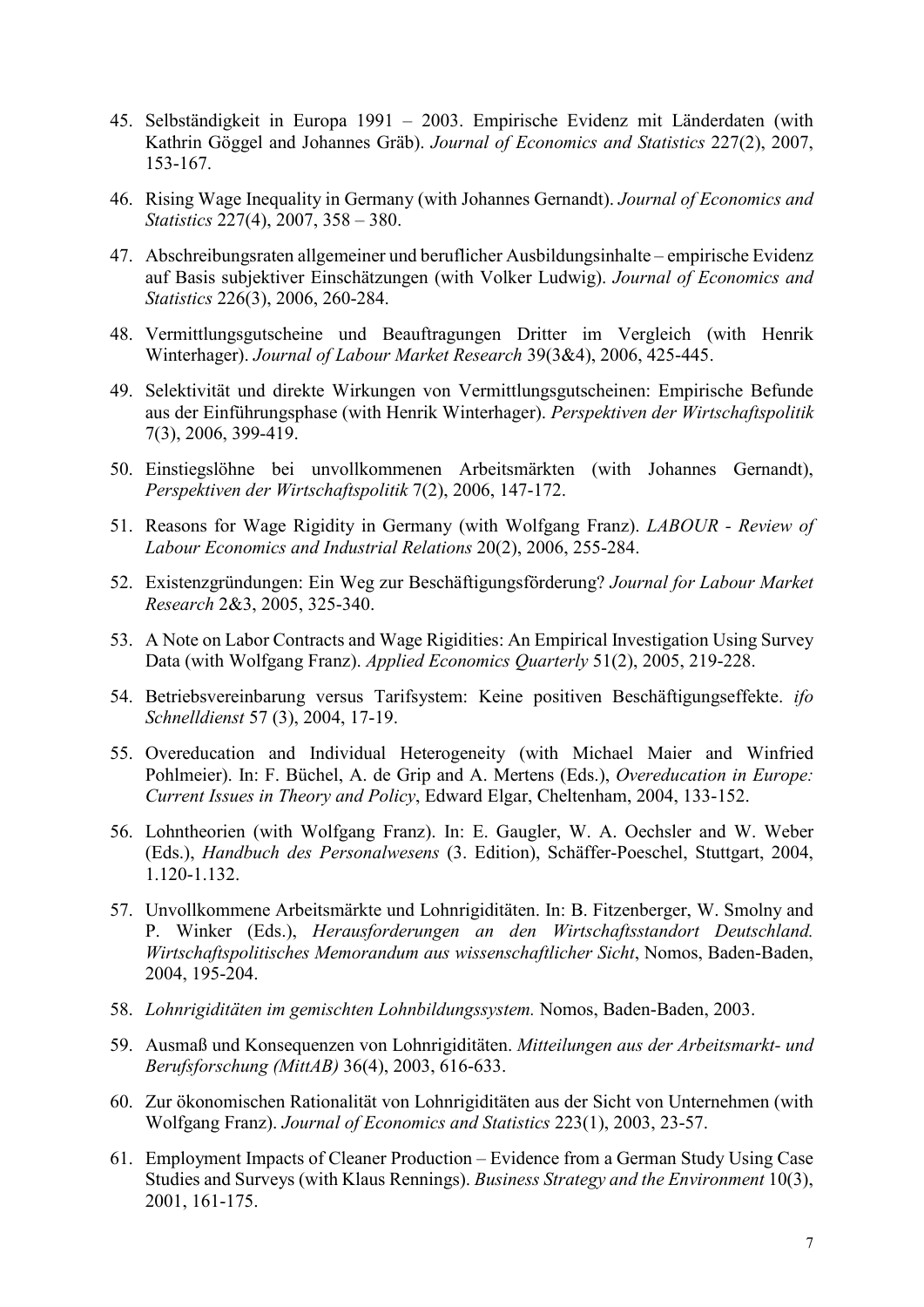- 45. Selbständigkeit in Europa 1991 2003. Empirische Evidenz mit Länderdaten (with Kathrin Göggel and Johannes Gräb). *Journal of Economics and Statistics* 227(2), 2007, 153-167.
- 46. Rising Wage Inequality in Germany (with Johannes Gernandt). *Journal of Economics and Statistics* 227(4), 2007, 358 – 380.
- 47. Abschreibungsraten allgemeiner und beruflicher Ausbildungsinhalte empirische Evidenz auf Basis subjektiver Einschätzungen (with Volker Ludwig). *Journal of Economics and Statistics* 226(3), 2006, 260-284.
- 48. Vermittlungsgutscheine und Beauftragungen Dritter im Vergleich (with Henrik Winterhager). *Journal of Labour Market Research* 39(3&4), 2006, 425-445.
- 49. Selektivität und direkte Wirkungen von Vermittlungsgutscheinen: Empirische Befunde aus der Einführungsphase (with Henrik Winterhager). *Perspektiven der Wirtschaftspolitik* 7(3), 2006, 399-419.
- 50. Einstiegslöhne bei unvollkommenen Arbeitsmärkten (with Johannes Gernandt), *Perspektiven der Wirtschaftspolitik* 7(2), 2006, 147-172.
- 51. Reasons for Wage Rigidity in Germany (with Wolfgang Franz). *LABOUR - Review of Labour Economics and Industrial Relations* 20(2), 2006, 255-284.
- 52. Existenzgründungen: Ein Weg zur Beschäftigungsförderung? *Journal for Labour Market Research* 2&3, 2005, 325-340.
- 53. A Note on Labor Contracts and Wage Rigidities: An Empirical Investigation Using Survey Data (with Wolfgang Franz). *Applied Economics Quarterly* 51(2), 2005, 219-228.
- 54. Betriebsvereinbarung versus Tarifsystem: Keine positiven Beschäftigungseffekte. *ifo Schnelldienst* 57 (3), 2004, 17-19.
- 55. Overeducation and Individual Heterogeneity (with Michael Maier and Winfried Pohlmeier). In: F. Büchel, A. de Grip and A. Mertens (Eds.), *Overeducation in Europe: Current Issues in Theory and Policy*, Edward Elgar, Cheltenham, 2004, 133-152.
- 56. Lohntheorien (with Wolfgang Franz). In: E. Gaugler, W. A. Oechsler and W. Weber (Eds.), *Handbuch des Personalwesens* (3. Edition), Schäffer-Poeschel, Stuttgart, 2004, 1.120-1.132.
- 57. Unvollkommene Arbeitsmärkte und Lohnrigiditäten. In: B. Fitzenberger, W. Smolny and P. Winker (Eds.), *Herausforderungen an den Wirtschaftsstandort Deutschland. Wirtschaftspolitisches Memorandum aus wissenschaftlicher Sicht*, Nomos, Baden-Baden, 2004, 195-204.
- 58. *Lohnrigiditäten im gemischten Lohnbildungssystem.* Nomos, Baden-Baden, 2003.
- 59. Ausmaß und Konsequenzen von Lohnrigiditäten. *Mitteilungen aus der Arbeitsmarkt- und Berufsforschung (MittAB)* 36(4), 2003, 616-633.
- 60. Zur ökonomischen Rationalität von Lohnrigiditäten aus der Sicht von Unternehmen (with Wolfgang Franz). *Journal of Economics and Statistics* 223(1), 2003, 23-57.
- 61. Employment Impacts of Cleaner Production Evidence from a German Study Using Case Studies and Surveys (with Klaus Rennings). *Business Strategy and the Environment* 10(3), 2001, 161-175.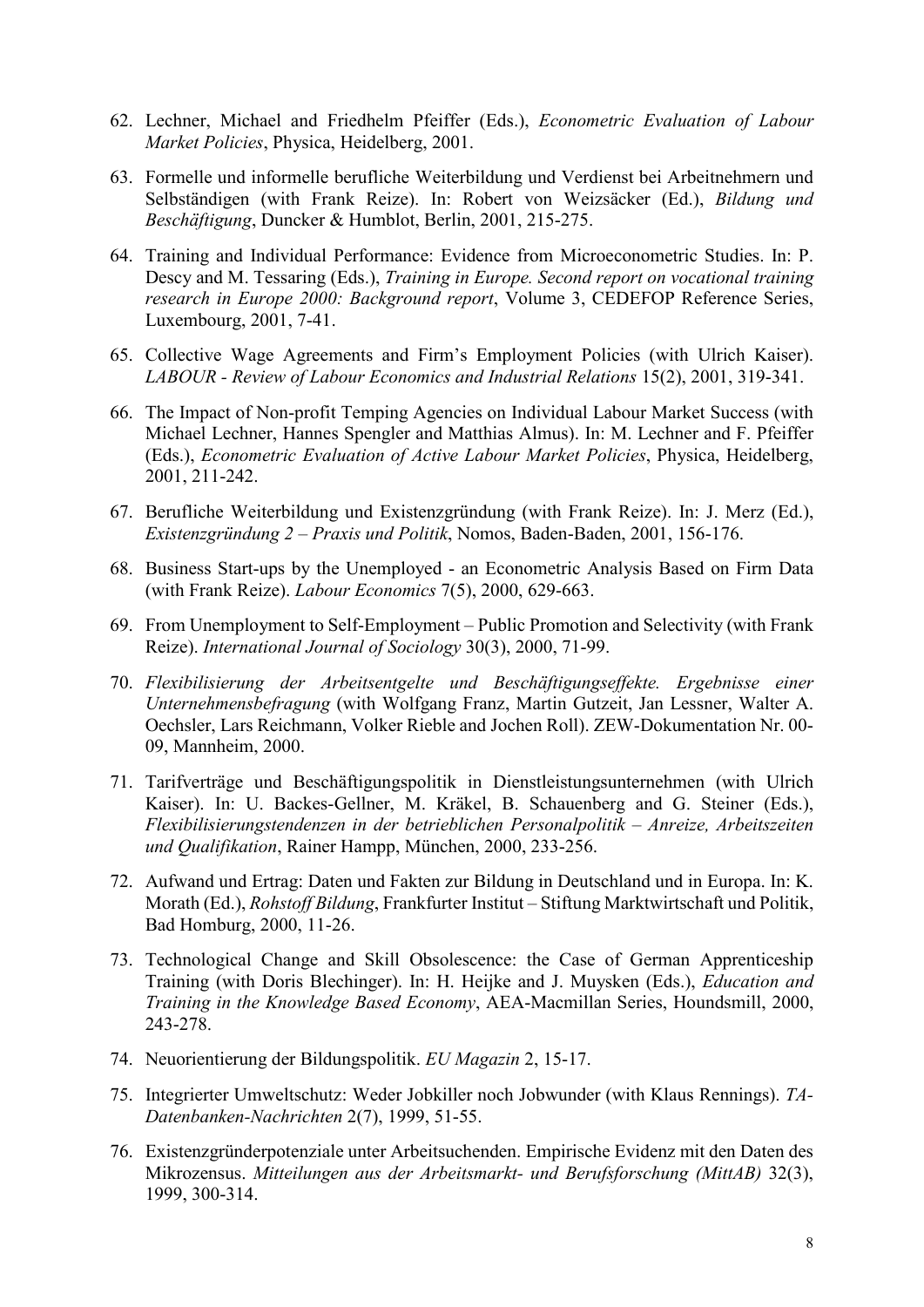- 62. Lechner, Michael and Friedhelm Pfeiffer (Eds.), *Econometric Evaluation of Labour Market Policies*, Physica, Heidelberg, 2001.
- 63. Formelle und informelle berufliche Weiterbildung und Verdienst bei Arbeitnehmern und Selbständigen (with Frank Reize). In: Robert von Weizsäcker (Ed.), *Bildung und Beschäftigung*, Duncker & Humblot, Berlin, 2001, 215-275.
- 64. Training and Individual Performance: Evidence from Microeconometric Studies. In: P. Descy and M. Tessaring (Eds.), *Training in Europe. Second report on vocational training research in Europe 2000: Background report*, Volume 3, CEDEFOP Reference Series, Luxembourg, 2001, 7-41.
- 65. Collective Wage Agreements and Firm's Employment Policies (with Ulrich Kaiser). *LABOUR - Review of Labour Economics and Industrial Relations* 15(2), 2001, 319-341.
- 66. The Impact of Non-profit Temping Agencies on Individual Labour Market Success (with Michael Lechner, Hannes Spengler and Matthias Almus). In: M. Lechner and F. Pfeiffer (Eds.), *Econometric Evaluation of Active Labour Market Policies*, Physica, Heidelberg, 2001, 211-242.
- 67. Berufliche Weiterbildung und Existenzgründung (with Frank Reize). In: J. Merz (Ed.), *Existenzgründung 2 – Praxis und Politik*, Nomos, Baden-Baden, 2001, 156-176.
- 68. Business Start-ups by the Unemployed an Econometric Analysis Based on Firm Data (with Frank Reize). *Labour Economics* 7(5), 2000, 629-663.
- 69. From Unemployment to Self-Employment Public Promotion and Selectivity (with Frank Reize). *International Journal of Sociology* 30(3), 2000, 71-99.
- 70. *Flexibilisierung der Arbeitsentgelte und Beschäftigungseffekte. Ergebnisse einer Unternehmensbefragung* (with Wolfgang Franz, Martin Gutzeit, Jan Lessner, Walter A. Oechsler, Lars Reichmann, Volker Rieble and Jochen Roll). ZEW-Dokumentation Nr. 00- 09, Mannheim, 2000.
- 71. Tarifverträge und Beschäftigungspolitik in Dienstleistungsunternehmen (with Ulrich Kaiser). In: U. Backes-Gellner, M. Kräkel, B. Schauenberg and G. Steiner (Eds.), *Flexibilisierungstendenzen in der betrieblichen Personalpolitik – Anreize, Arbeitszeiten und Qualifikation*, Rainer Hampp, München, 2000, 233-256.
- 72. Aufwand und Ertrag: Daten und Fakten zur Bildung in Deutschland und in Europa. In: K. Morath (Ed.), *Rohstoff Bildung*, Frankfurter Institut – Stiftung Marktwirtschaft und Politik, Bad Homburg, 2000, 11-26.
- 73. Technological Change and Skill Obsolescence: the Case of German Apprenticeship Training (with Doris Blechinger). In: H. Heijke and J. Muysken (Eds.), *Education and Training in the Knowledge Based Economy*, AEA-Macmillan Series, Houndsmill, 2000, 243-278.
- 74. Neuorientierung der Bildungspolitik. *EU Magazin* 2, 15-17.
- 75. Integrierter Umweltschutz: Weder Jobkiller noch Jobwunder (with Klaus Rennings). *TA-Datenbanken-Nachrichten* 2(7), 1999, 51-55.
- 76. Existenzgründerpotenziale unter Arbeitsuchenden. Empirische Evidenz mit den Daten des Mikrozensus. *Mitteilungen aus der Arbeitsmarkt- und Berufsforschung (MittAB)* 32(3), 1999, 300-314.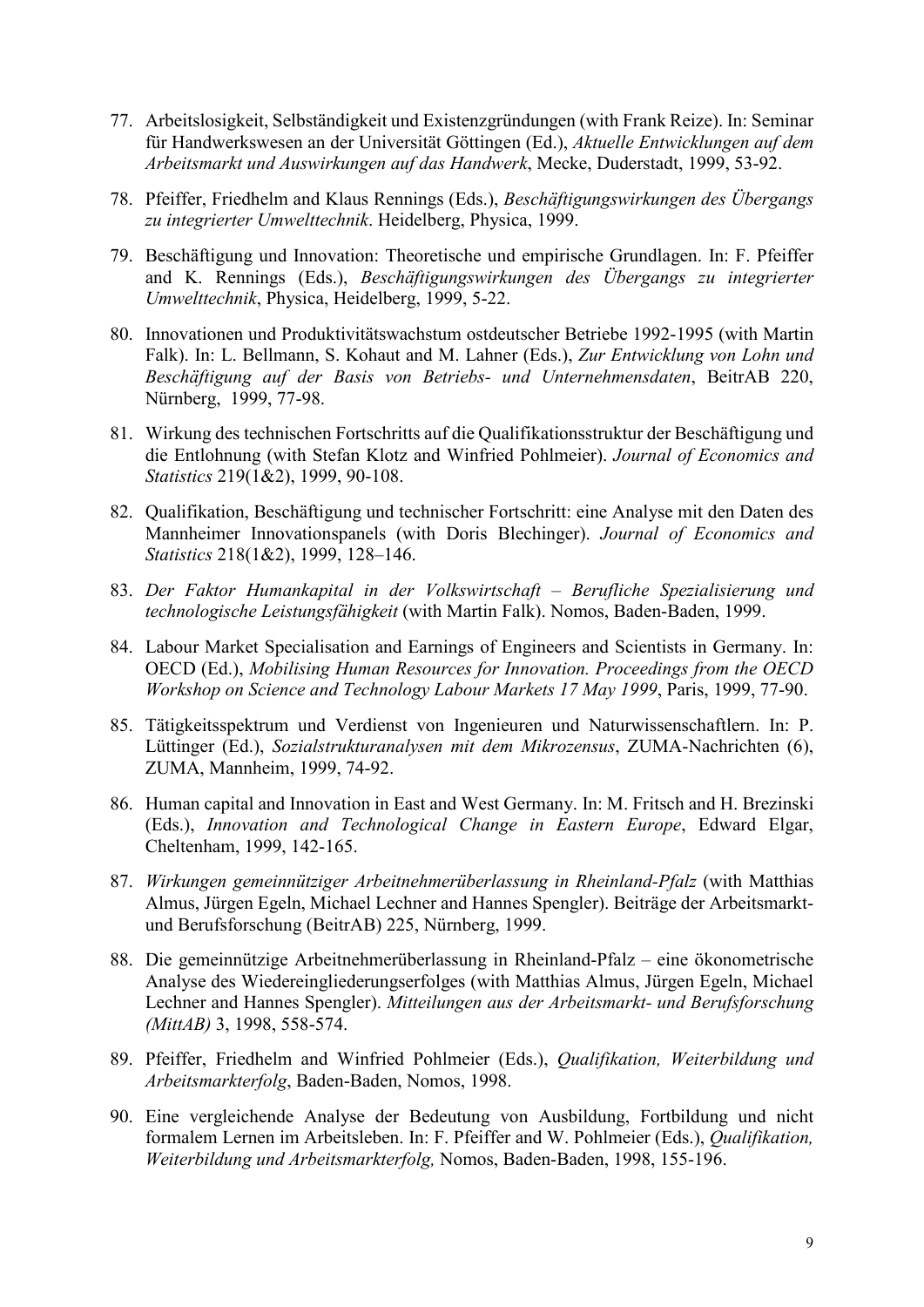- 77. Arbeitslosigkeit, Selbständigkeit und Existenzgründungen (with Frank Reize). In: Seminar für Handwerkswesen an der Universität Göttingen (Ed.), *Aktuelle Entwicklungen auf dem Arbeitsmarkt und Auswirkungen auf das Handwerk*, Mecke, Duderstadt, 1999, 53-92.
- 78. Pfeiffer, Friedhelm and Klaus Rennings (Eds.), *Beschäftigungswirkungen des Übergangs zu integrierter Umwelttechnik*. Heidelberg, Physica, 1999.
- 79. Beschäftigung und Innovation: Theoretische und empirische Grundlagen. In: F. Pfeiffer and K. Rennings (Eds.), *Beschäftigungswirkungen des Übergangs zu integrierter Umwelttechnik*, Physica, Heidelberg, 1999, 5-22.
- 80. Innovationen und Produktivitätswachstum ostdeutscher Betriebe 1992-1995 (with Martin Falk). In: L. Bellmann, S. Kohaut and M. Lahner (Eds.), *Zur Entwicklung von Lohn und Beschäftigung auf der Basis von Betriebs- und Unternehmensdaten*, BeitrAB 220, Nürnberg, 1999, 77-98.
- 81. Wirkung des technischen Fortschritts auf die Qualifikationsstruktur der Beschäftigung und die Entlohnung (with Stefan Klotz and Winfried Pohlmeier). *Journal of Economics and Statistics* 219(1&2), 1999, 90-108.
- 82. Qualifikation, Beschäftigung und technischer Fortschritt: eine Analyse mit den Daten des Mannheimer Innovationspanels (with Doris Blechinger). *Journal of Economics and Statistics* 218(1&2), 1999, 128–146.
- 83. *Der Faktor Humankapital in der Volkswirtschaft – Berufliche Spezialisierung und technologische Leistungsfähigkeit* (with Martin Falk). Nomos, Baden-Baden, 1999.
- 84. Labour Market Specialisation and Earnings of Engineers and Scientists in Germany. In: OECD (Ed.), *Mobilising Human Resources for Innovation. Proceedings from the OECD Workshop on Science and Technology Labour Markets 17 May 1999*, Paris, 1999, 77-90.
- 85. Tätigkeitsspektrum und Verdienst von Ingenieuren und Naturwissenschaftlern. In: P. Lüttinger (Ed.), *Sozialstrukturanalysen mit dem Mikrozensus*, ZUMA-Nachrichten (6), ZUMA, Mannheim, 1999, 74-92.
- 86. Human capital and Innovation in East and West Germany. In: M. Fritsch and H. Brezinski (Eds.), *Innovation and Technological Change in Eastern Europe*, Edward Elgar, Cheltenham, 1999, 142-165.
- 87. *Wirkungen gemeinnütziger Arbeitnehmerüberlassung in Rheinland-Pfalz* (with Matthias Almus, Jürgen Egeln, Michael Lechner and Hannes Spengler). Beiträge der Arbeitsmarktund Berufsforschung (BeitrAB) 225, Nürnberg, 1999.
- 88. Die gemeinnützige Arbeitnehmerüberlassung in Rheinland-Pfalz eine ökonometrische Analyse des Wiedereingliederungserfolges (with Matthias Almus, Jürgen Egeln, Michael Lechner and Hannes Spengler). *Mitteilungen aus der Arbeitsmarkt- und Berufsforschung (MittAB)* 3, 1998, 558-574.
- 89. Pfeiffer, Friedhelm and Winfried Pohlmeier (Eds.), *Qualifikation, Weiterbildung und Arbeitsmarkterfolg*, Baden-Baden, Nomos, 1998.
- 90. Eine vergleichende Analyse der Bedeutung von Ausbildung, Fortbildung und nicht formalem Lernen im Arbeitsleben. In: F. Pfeiffer and W. Pohlmeier (Eds.), *Qualifikation, Weiterbildung und Arbeitsmarkterfolg,* Nomos, Baden-Baden, 1998, 155-196.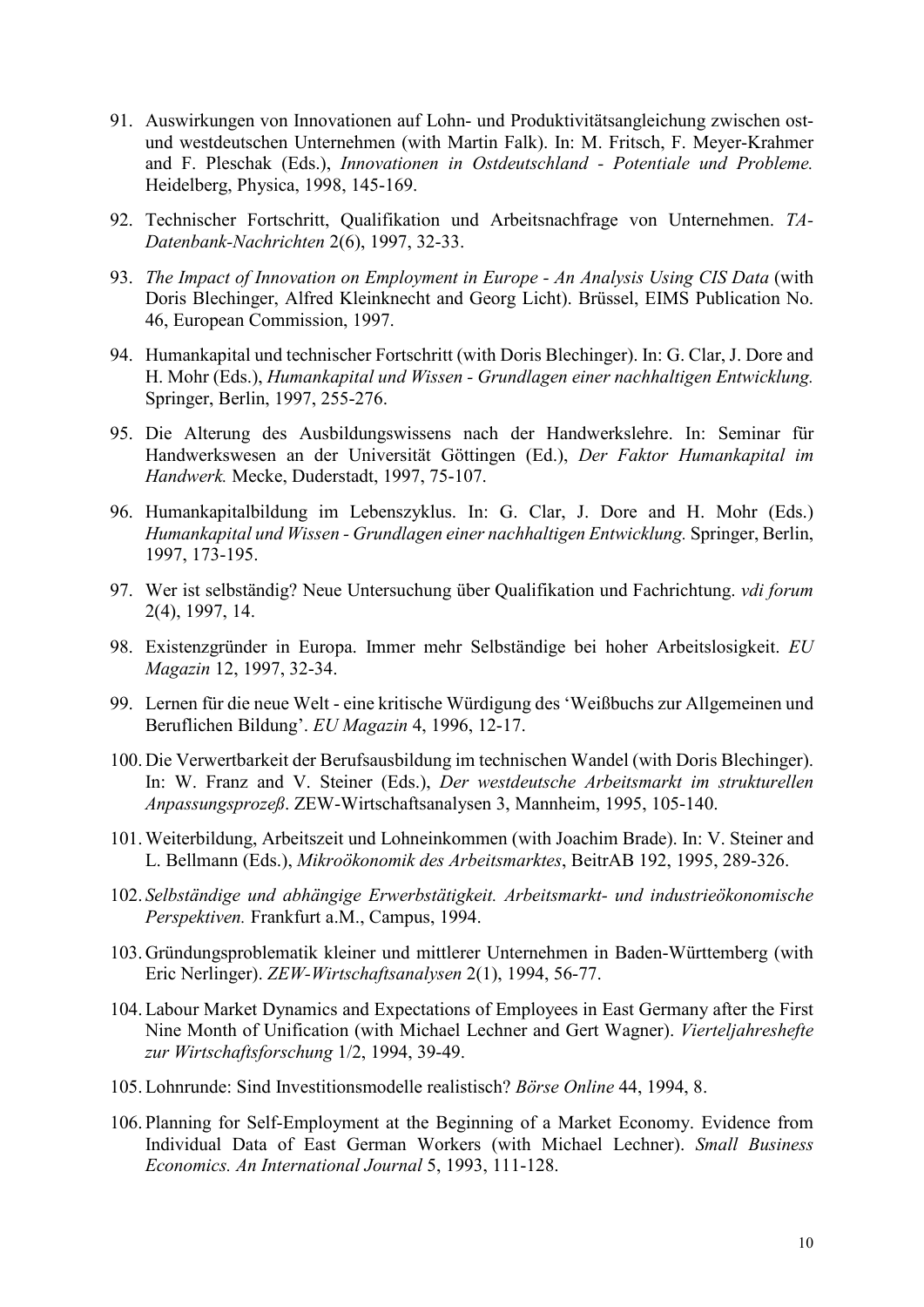- 91. Auswirkungen von Innovationen auf Lohn- und Produktivitätsangleichung zwischen ostund westdeutschen Unternehmen (with Martin Falk). In: M. Fritsch, F. Meyer-Krahmer and F. Pleschak (Eds.), *Innovationen in Ostdeutschland - Potentiale und Probleme.* Heidelberg, Physica, 1998, 145-169.
- 92. Technischer Fortschritt, Qualifikation und Arbeitsnachfrage von Unternehmen. *TA-Datenbank-Nachrichten* 2(6), 1997, 32-33.
- 93. *The Impact of Innovation on Employment in Europe - An Analysis Using CIS Data* (with Doris Blechinger, Alfred Kleinknecht and Georg Licht). Brüssel, EIMS Publication No. 46, European Commission, 1997.
- 94. Humankapital und technischer Fortschritt (with Doris Blechinger). In: G. Clar, J. Dore and H. Mohr (Eds.), *Humankapital und Wissen - Grundlagen einer nachhaltigen Entwicklung.* Springer, Berlin, 1997, 255-276.
- 95. Die Alterung des Ausbildungswissens nach der Handwerkslehre. In: Seminar für Handwerkswesen an der Universität Göttingen (Ed.), *Der Faktor Humankapital im Handwerk.* Mecke, Duderstadt, 1997, 75-107.
- 96. Humankapitalbildung im Lebenszyklus. In: G. Clar, J. Dore and H. Mohr (Eds.) *Humankapital und Wissen - Grundlagen einer nachhaltigen Entwicklung.* Springer, Berlin, 1997, 173-195.
- 97. Wer ist selbständig? Neue Untersuchung über Qualifikation und Fachrichtung. *vdi forum* 2(4), 1997, 14.
- 98. Existenzgründer in Europa. Immer mehr Selbständige bei hoher Arbeitslosigkeit. *EU Magazin* 12, 1997, 32-34.
- 99. Lernen für die neue Welt eine kritische Würdigung des 'Weißbuchs zur Allgemeinen und Beruflichen Bildung'. *EU Magazin* 4, 1996, 12-17.
- 100.Die Verwertbarkeit der Berufsausbildung im technischen Wandel (with Doris Blechinger). In: W. Franz and V. Steiner (Eds.), *Der westdeutsche Arbeitsmarkt im strukturellen Anpassungsprozeß*. ZEW-Wirtschaftsanalysen 3, Mannheim, 1995, 105-140.
- 101.Weiterbildung, Arbeitszeit und Lohneinkommen (with Joachim Brade). In: V. Steiner and L. Bellmann (Eds.), *Mikroökonomik des Arbeitsmarktes*, BeitrAB 192, 1995, 289-326.
- 102. *Selbständige und abhängige Erwerbstätigkeit. Arbeitsmarkt- und industrieökonomische Perspektiven.* Frankfurt a.M., Campus, 1994.
- 103.Gründungsproblematik kleiner und mittlerer Unternehmen in Baden-Württemberg (with Eric Nerlinger). *ZEW-Wirtschaftsanalysen* 2(1), 1994, 56-77.
- 104.Labour Market Dynamics and Expectations of Employees in East Germany after the First Nine Month of Unification (with Michael Lechner and Gert Wagner). *Vierteljahreshefte zur Wirtschaftsforschung* 1/2, 1994, 39-49.
- 105.Lohnrunde: Sind Investitionsmodelle realistisch? *Börse Online* 44, 1994, 8.
- 106. Planning for Self-Employment at the Beginning of a Market Economy. Evidence from Individual Data of East German Workers (with Michael Lechner). *Small Business Economics. An International Journal* 5, 1993, 111-128.